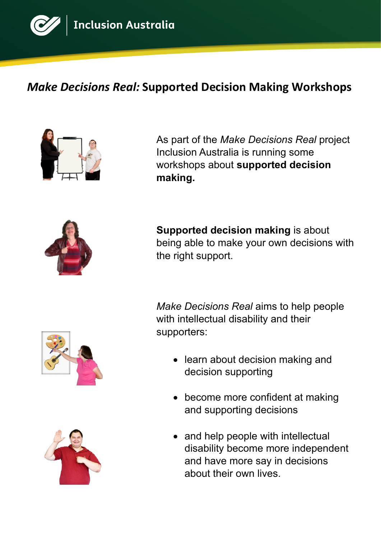

## *Make Decisions Real:* **Supported Decision Making Workshops**



As part of the *Make Decisions Real* project Inclusion Australia is running some workshops about **supported decision making.** 



**Supported decision making** is about being able to make your own decisions with the right support.

*Make Decisions Real* aims to help people with intellectual disability and their supporters:

- learn about decision making and decision supporting
- become more confident at making and supporting decisions
- and help people with intellectual disability become more independent and have more say in decisions about their own lives.



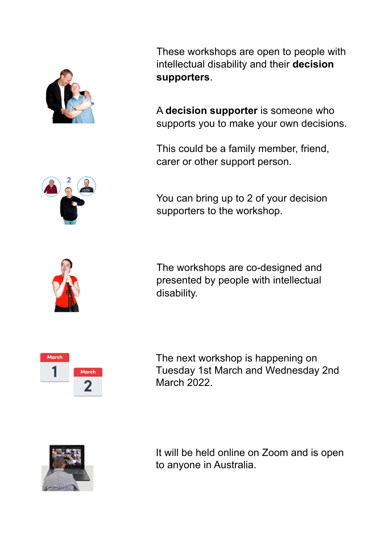

These workshops are open to people with intellectual disability and their **decision supporters**.

A **decision supporter** is someone who supports you to make your own decisions.

This could be a family member, friend, carer or other support person.

You can bring up to 2 of your decision supporters to the workshop.



The workshops are co-designed and presented by people with intellectual disability.



The next workshop is happening on Tuesday 1st March and Wednesday 2nd March 2022.



It will be held online on Zoom and is open to anyone in Australia.